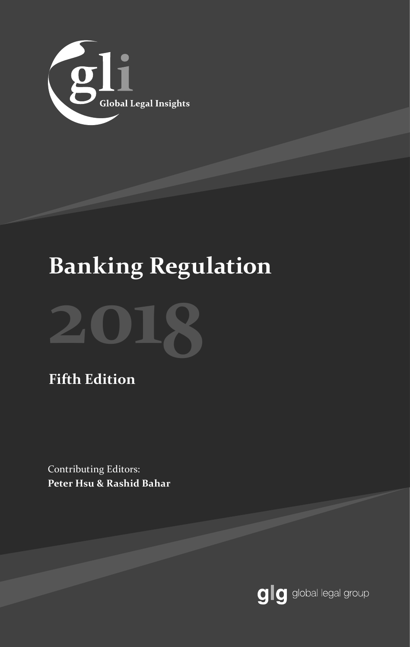

# **Banking Regulation**



# **Fifth Edition**

Contributing Editors: **Peter Hsu & Rashid Bahar**

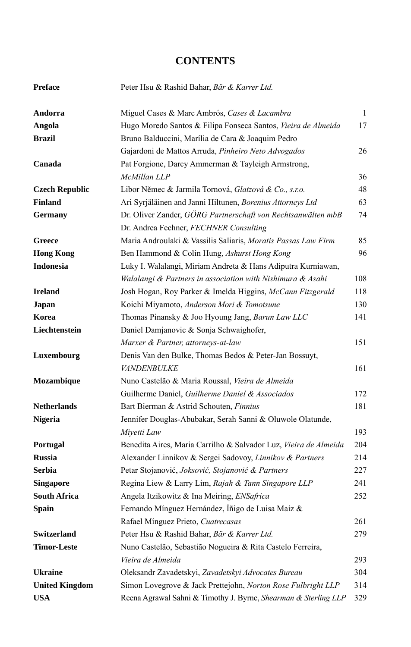### **CONTENTS**

| <b>Preface</b>        | Peter Hsu & Rashid Bahar, Bär & Karrer Ltd.                      |     |
|-----------------------|------------------------------------------------------------------|-----|
| Andorra               | Miguel Cases & Marc Ambrós, Cases & Lacambra                     | 1   |
| Angola                | Hugo Moredo Santos & Filipa Fonseca Santos, Vieira de Almeida    | 17  |
| <b>Brazil</b>         | Bruno Balduccini, Marília de Cara & Joaquim Pedro                |     |
|                       | Gajardoni de Mattos Arruda, Pinheiro Neto Advogados              | 26  |
| Canada                | Pat Forgione, Darcy Ammerman & Tayleigh Armstrong,               |     |
|                       | McMillan LLP                                                     | 36  |
| <b>Czech Republic</b> | Libor Němec & Jarmila Tornová, Glatzová & Co., s.r.o.            | 48  |
| <b>Finland</b>        | Ari Syrjäläinen and Janni Hiltunen, Borenius Attorneys Ltd       | 63  |
| <b>Germany</b>        | Dr. Oliver Zander, GÖRG Partnerschaft von Rechtsanwälten mbB     | 74  |
|                       | Dr. Andrea Fechner, FECHNER Consulting                           |     |
| Greece                | Maria Androulaki & Vassilis Saliaris, Moratis Passas Law Firm    | 85  |
| <b>Hong Kong</b>      | Ben Hammond & Colin Hung, Ashurst Hong Kong                      | 96  |
| <b>Indonesia</b>      | Luky I. Walalangi, Miriam Andreta & Hans Adiputra Kurniawan,     |     |
|                       | Walalangi & Partners in association with Nishimura & Asahi       | 108 |
| <b>Ireland</b>        | Josh Hogan, Roy Parker & Imelda Higgins, McCann Fitzgerald       | 118 |
| Japan                 | Koichi Miyamoto, Anderson Mori & Tomotsune                       | 130 |
| Korea                 | Thomas Pinansky & Joo Hyoung Jang, Barun Law LLC                 | 141 |
| Liechtenstein         | Daniel Damjanovic & Sonja Schwaighofer,                          |     |
|                       | Marxer & Partner, attorneys-at-law                               | 151 |
| Luxembourg            | Denis Van den Bulke, Thomas Bedos & Peter-Jan Bossuyt,           |     |
|                       | <i>VANDENBULKE</i>                                               | 161 |
| Mozambique            | Nuno Castelão & Maria Roussal, Vieira de Almeida                 |     |
|                       | Guilherme Daniel, Guilherme Daniel & Associados                  | 172 |
| <b>Netherlands</b>    | Bart Bierman & Astrid Schouten, Finnius                          | 181 |
| <b>Nigeria</b>        | Jennifer Douglas-Abubakar, Serah Sanni & Oluwole Olatunde,       |     |
|                       | Miyetti Law                                                      | 193 |
| Portugal              | Benedita Aires, Maria Carrilho & Salvador Luz, Vieira de Almeida | 204 |
| <b>Russia</b>         | Alexander Linnikov & Sergei Sadovoy, Linnikov & Partners         | 214 |
| <b>Serbia</b>         | Petar Stojanović, Joksović, Stojanović & Partners                | 227 |
| <b>Singapore</b>      | Regina Liew & Larry Lim, Rajah & Tann Singapore LLP              | 241 |
| South Africa          | Angela Itzikowitz & Ina Meiring, ENSafrica                       | 252 |
| <b>Spain</b>          | Fernando Mínguez Hernández, Íñigo de Luisa Maíz &                |     |
|                       | Rafael Mínguez Prieto, Cuatrecasas                               | 261 |
| Switzerland           | Peter Hsu & Rashid Bahar, Bär & Karrer Ltd.                      | 279 |
| <b>Timor-Leste</b>    | Nuno Castelão, Sebastião Nogueira & Rita Castelo Ferreira,       |     |
|                       | Vieira de Almeida                                                | 293 |
| <b>Ukraine</b>        | Oleksandr Zavadetskyi, Zavadetskyi Advocates Bureau              | 304 |
| <b>United Kingdom</b> | Simon Lovegrove & Jack Prettejohn, Norton Rose Fulbright LLP     | 314 |
| <b>USA</b>            | Reena Agrawal Sahni & Timothy J. Byrne, Shearman & Sterling LLP  | 329 |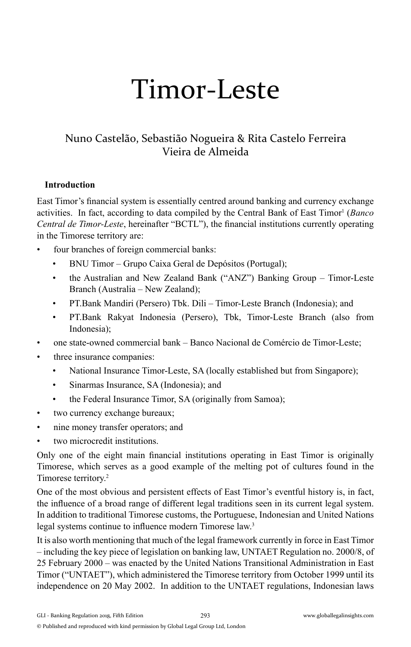# Timor-Leste

## Nuno Castelão, Sebastião Nogueira & Rita Castelo Ferreira Vieira de Almeida

#### **Introduction**

East Timor's financial system is essentially centred around banking and currency exchange activities. In fact, according to data compiled by the Central Bank of East Timor<sup>1</sup> (*Banco Central de Timor-Leste*, hereinafter "BCTL"), the financial institutions currently operating in the Timorese territory are:

- four branches of foreign commercial banks:
	- BNU Timor Grupo Caixa Geral de Depósitos (Portugal);
	- the Australian and New Zealand Bank ("ANZ") Banking Group Timor-Leste Branch (Australia – New Zealand);
	- PT.Bank Mandiri (Persero) Tbk. Dili Timor-Leste Branch (Indonesia); and
	- PT.Bank Rakyat Indonesia (Persero), Tbk, Timor-Leste Branch (also from Indonesia);
- one state-owned commercial bank Banco Nacional de Comércio de Timor-Leste;
- three insurance companies:
	- National Insurance Timor-Leste, SA (locally established but from Singapore);
	- Sinarmas Insurance, SA (Indonesia); and
	- the Federal Insurance Timor, SA (originally from Samoa);
- two currency exchange bureaux;
- nine money transfer operators; and
- two microcredit institutions.

Only one of the eight main financial institutions operating in East Timor is originally Timorese, which serves as a good example of the melting pot of cultures found in the Timorese territory.2

One of the most obvious and persistent effects of East Timor's eventful history is, in fact, the influence of a broad range of different legal traditions seen in its current legal system. In addition to traditional Timorese customs, the Portuguese, Indonesian and United Nations legal systems continue to influence modern Timorese law.<sup>3</sup>

It is also worth mentioning that much of the legal framework currently in force in East Timor – including the key piece of legislation on banking law, UNTAET Regulation no. 2000/8, of 25 February 2000 – was enacted by the United Nations Transitional Administration in East Timor ("UNTAET"), which administered the Timorese territory from October 1999 until its independence on 20 May 2002. In addition to the UNTAET regulations, Indonesian laws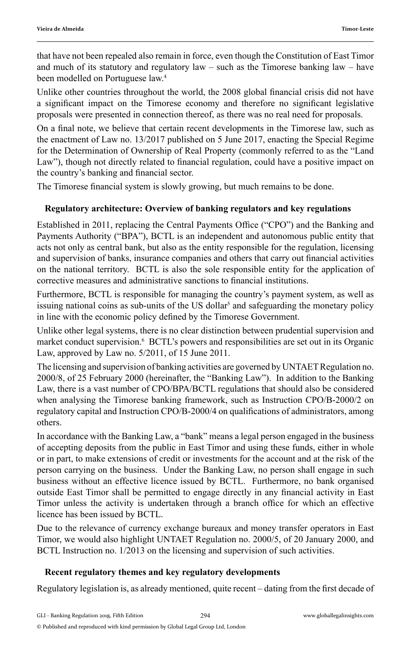that have not been repealed also remain in force, even though the Constitution of East Timor and much of its statutory and regulatory law – such as the Timorese banking law – have been modelled on Portuguese law.<sup>4</sup>

Unlike other countries throughout the world, the 2008 global financial crisis did not have a significant impact on the Timorese economy and therefore no significant legislative proposals were presented in connection thereof, as there was no real need for proposals.

On a final note, we believe that certain recent developments in the Timorese law, such as the enactment of Law no. 13/2017 published on 5 June 2017, enacting the Special Regime for the Determination of Ownership of Real Property (commonly referred to as the "Land Law"), though not directly related to financial regulation, could have a positive impact on the country's banking and financial sector.

The Timorese financial system is slowly growing, but much remains to be done.

#### **Regulatory architecture: Overview of banking regulators and key regulations**

Established in 2011, replacing the Central Payments Office ("CPO") and the Banking and Payments Authority ("BPA"), BCTL is an independent and autonomous public entity that acts not only as central bank, but also as the entity responsible for the regulation, licensing and supervision of banks, insurance companies and others that carry out financial activities on the national territory. BCTL is also the sole responsible entity for the application of corrective measures and administrative sanctions to financial institutions.

Furthermore, BCTL is responsible for managing the country's payment system, as well as issuing national coins as sub-units of the US dollar<sup>5</sup> and safeguarding the monetary policy in line with the economic policy defined by the Timorese Government.

Unlike other legal systems, there is no clear distinction between prudential supervision and market conduct supervision.<sup>6</sup> BCTL's powers and responsibilities are set out in its Organic Law, approved by Law no. 5/2011, of 15 June 2011.

The licensing and supervision of banking activities are governed by UNTAET Regulation no. 2000/8, of 25 February 2000 (hereinafter, the "Banking Law"). In addition to the Banking Law, there is a vast number of CPO/BPA/BCTL regulations that should also be considered when analysing the Timorese banking framework, such as Instruction CPO/B-2000/2 on regulatory capital and Instruction CPO/B-2000/4 on qualifications of administrators, among others.

In accordance with the Banking Law, a "bank" means a legal person engaged in the business of accepting deposits from the public in East Timor and using these funds, either in whole or in part, to make extensions of credit or investments for the account and at the risk of the person carrying on the business. Under the Banking Law, no person shall engage in such business without an effective licence issued by BCTL. Furthermore, no bank organised outside East Timor shall be permitted to engage directly in any financial activity in East Timor unless the activity is undertaken through a branch office for which an effective licence has been issued by BCTL.

Due to the relevance of currency exchange bureaux and money transfer operators in East Timor, we would also highlight UNTAET Regulation no. 2000/5, of 20 January 2000, and BCTL Instruction no. 1/2013 on the licensing and supervision of such activities.

#### **Recent regulatory themes and key regulatory developments**

Regulatory legislation is, as already mentioned, quite recent – dating from the first decade of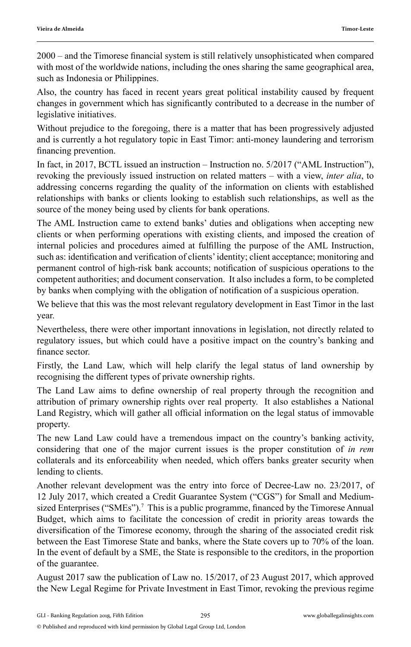2000 – and the Timorese financial system is still relatively unsophisticated when compared with most of the worldwide nations, including the ones sharing the same geographical area, such as Indonesia or Philippines.

Also, the country has faced in recent years great political instability caused by frequent changes in government which has significantly contributed to a decrease in the number of legislative initiatives.

Without prejudice to the foregoing, there is a matter that has been progressively adjusted and is currently a hot regulatory topic in East Timor: anti-money laundering and terrorism financing prevention.

In fact, in 2017, BCTL issued an instruction – Instruction no. 5/2017 ("AML Instruction"), revoking the previously issued instruction on related matters – with a view, *inter alia*, to addressing concerns regarding the quality of the information on clients with established relationships with banks or clients looking to establish such relationships, as well as the source of the money being used by clients for bank operations.

The AML Instruction came to extend banks' duties and obligations when accepting new clients or when performing operations with existing clients, and imposed the creation of internal policies and procedures aimed at fulfilling the purpose of the AML Instruction, such as: identification and verification of clients' identity; client acceptance; monitoring and permanent control of high-risk bank accounts; notification of suspicious operations to the competent authorities; and document conservation. It also includes a form, to be completed by banks when complying with the obligation of notification of a suspicious operation.

We believe that this was the most relevant regulatory development in East Timor in the last year.

Nevertheless, there were other important innovations in legislation, not directly related to regulatory issues, but which could have a positive impact on the country's banking and finance sector.

Firstly, the Land Law, which will help clarify the legal status of land ownership by recognising the different types of private ownership rights.

The Land Law aims to define ownership of real property through the recognition and attribution of primary ownership rights over real property. It also establishes a National Land Registry, which will gather all official information on the legal status of immovable property.

The new Land Law could have a tremendous impact on the country's banking activity, considering that one of the major current issues is the proper constitution of *in rem* collaterals and its enforceability when needed, which offers banks greater security when lending to clients.

Another relevant development was the entry into force of Decree-Law no. 23/2017, of 12 July 2017, which created a Credit Guarantee System ("CGS") for Small and Mediumsized Enterprises ("SMEs").<sup>7</sup> This is a public programme, financed by the Timorese Annual Budget, which aims to facilitate the concession of credit in priority areas towards the diversification of the Timorese economy, through the sharing of the associated credit risk between the East Timorese State and banks, where the State covers up to 70% of the loan. In the event of default by a SME, the State is responsible to the creditors, in the proportion of the guarantee.

August 2017 saw the publication of Law no. 15/2017, of 23 August 2017, which approved the New Legal Regime for Private Investment in East Timor, revoking the previous regime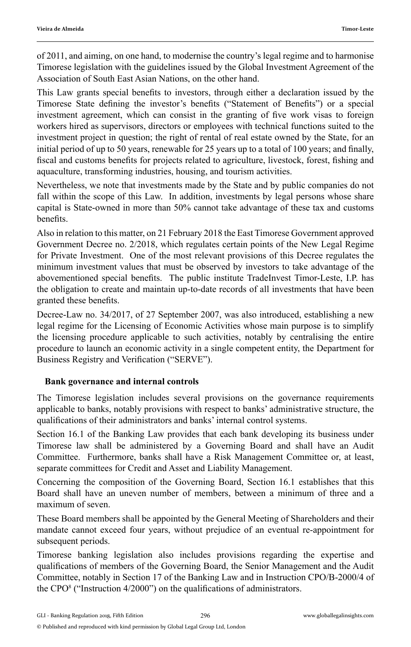of 2011, and aiming, on one hand, to modernise the country's legal regime and to harmonise Timorese legislation with the guidelines issued by the Global Investment Agreement of the Association of South East Asian Nations, on the other hand.

This Law grants special benefits to investors, through either a declaration issued by the Timorese State defining the investor's benefits ("Statement of Benefits") or a special investment agreement, which can consist in the granting of five work visas to foreign workers hired as supervisors, directors or employees with technical functions suited to the investment project in question; the right of rental of real estate owned by the State, for an initial period of up to 50 years, renewable for 25 years up to a total of  $100$  years; and finally, fiscal and customs benefits for projects related to agriculture, livestock, forest, fishing and aquaculture, transforming industries, housing, and tourism activities.

Nevertheless, we note that investments made by the State and by public companies do not fall within the scope of this Law. In addition, investments by legal persons whose share capital is State-owned in more than 50% cannot take advantage of these tax and customs benefits.

Also in relation to this matter, on 21 February 2018 the East Timorese Government approved Government Decree no. 2/2018, which regulates certain points of the New Legal Regime for Private Investment. One of the most relevant provisions of this Decree regulates the minimum investment values that must be observed by investors to take advantage of the abovementioned special benefits. The public institute TradeInvest Timor-Leste, I.P. has the obligation to create and maintain up-to-date records of all investments that have been granted these benefits.

Decree-Law no. 34/2017, of 27 September 2007, was also introduced, establishing a new legal regime for the Licensing of Economic Activities whose main purpose is to simplify the licensing procedure applicable to such activities, notably by centralising the entire procedure to launch an economic activity in a single competent entity, the Department for Business Registry and Verification ("SERVE").

#### **Bank governance and internal controls**

The Timorese legislation includes several provisions on the governance requirements applicable to banks, notably provisions with respect to banks' administrative structure, the qualifications of their administrators and banks' internal control systems.

Section 16.1 of the Banking Law provides that each bank developing its business under Timorese law shall be administered by a Governing Board and shall have an Audit Committee. Furthermore, banks shall have a Risk Management Committee or, at least, separate committees for Credit and Asset and Liability Management.

Concerning the composition of the Governing Board, Section 16.1 establishes that this Board shall have an uneven number of members, between a minimum of three and a maximum of seven.

These Board members shall be appointed by the General Meeting of Shareholders and their mandate cannot exceed four years, without prejudice of an eventual re-appointment for subsequent periods.

Timorese banking legislation also includes provisions regarding the expertise and qualifi cations of members of the Governing Board, the Senior Management and the Audit Committee, notably in Section 17 of the Banking Law and in Instruction CPO/B-2000/4 of the CPO<sup>8</sup> ("Instruction  $4/2000$ ") on the qualifications of administrators.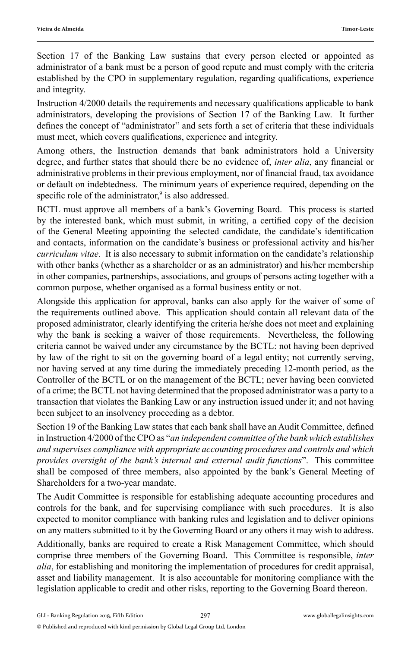Section 17 of the Banking Law sustains that every person elected or appointed as administrator of a bank must be a person of good repute and must comply with the criteria established by the CPO in supplementary regulation, regarding qualifications, experience and integrity.

Instruction 4/2000 details the requirements and necessary qualifications applicable to bank administrators, developing the provisions of Section 17 of the Banking Law. It further defines the concept of "administrator" and sets forth a set of criteria that these individuals must meet, which covers qualifications, experience and integrity.

Among others, the Instruction demands that bank administrators hold a University degree, and further states that should there be no evidence of, *inter alia*, any financial or administrative problems in their previous employment, nor of financial fraud, tax avoidance or default on indebtedness. The minimum years of experience required, depending on the specific role of the administrator, $9$  is also addressed.

BCTL must approve all members of a bank's Governing Board. This process is started by the interested bank, which must submit, in writing, a certified copy of the decision of the General Meeting appointing the selected candidate, the candidate's identification and contacts, information on the candidate's business or professional activity and his/her *curriculum vitae*. It is also necessary to submit information on the candidate's relationship with other banks (whether as a shareholder or as an administrator) and his/her membership in other companies, partnerships, associations, and groups of persons acting together with a common purpose, whether organised as a formal business entity or not.

Alongside this application for approval, banks can also apply for the waiver of some of the requirements outlined above. This application should contain all relevant data of the proposed administrator, clearly identifying the criteria he/she does not meet and explaining why the bank is seeking a waiver of those requirements. Nevertheless, the following criteria cannot be waived under any circumstance by the BCTL: not having been deprived by law of the right to sit on the governing board of a legal entity; not currently serving, nor having served at any time during the immediately preceding 12-month period, as the Controller of the BCTL or on the management of the BCTL; never having been convicted of a crime; the BCTL not having determined that the proposed administrator was a party to a transaction that violates the Banking Law or any instruction issued under it; and not having been subject to an insolvency proceeding as a debtor.

Section 19 of the Banking Law states that each bank shall have an Audit Committee, defined in Instruction 4/2000 of the CPO as "*an independent committee of the bank which establishes and supervises compliance with appropriate accounting procedures and controls and which provides oversight of the bank's internal and external audit functions*". This committee shall be composed of three members, also appointed by the bank's General Meeting of Shareholders for a two-year mandate.

The Audit Committee is responsible for establishing adequate accounting procedures and controls for the bank, and for supervising compliance with such procedures. It is also expected to monitor compliance with banking rules and legislation and to deliver opinions on any matters submitted to it by the Governing Board or any others it may wish to address.

Additionally, banks are required to create a Risk Management Committee, which should comprise three members of the Governing Board. This Committee is responsible, *inter alia*, for establishing and monitoring the implementation of procedures for credit appraisal, asset and liability management. It is also accountable for monitoring compliance with the legislation applicable to credit and other risks, reporting to the Governing Board thereon.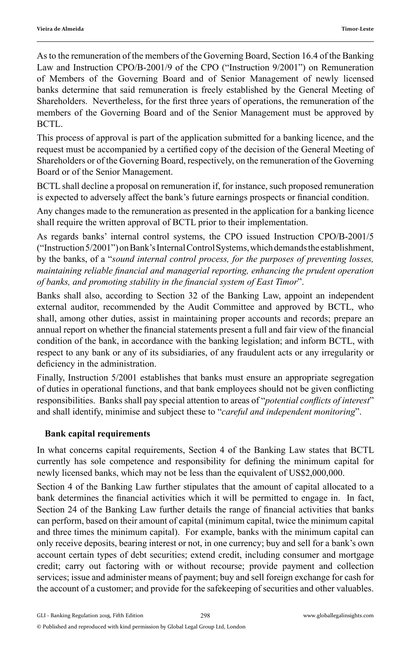As to the remuneration of the members of the Governing Board, Section 16.4 of the Banking Law and Instruction CPO/B-2001/9 of the CPO ("Instruction 9/2001") on Remuneration of Members of the Governing Board and of Senior Management of newly licensed banks determine that said remuneration is freely established by the General Meeting of Shareholders. Nevertheless, for the first three years of operations, the remuneration of the members of the Governing Board and of the Senior Management must be approved by BCTL.

This process of approval is part of the application submitted for a banking licence, and the request must be accompanied by a certified copy of the decision of the General Meeting of Shareholders or of the Governing Board, respectively, on the remuneration of the Governing Board or of the Senior Management.

BCTL shall decline a proposal on remuneration if, for instance, such proposed remuneration is expected to adversely affect the bank's future earnings prospects or financial condition.

Any changes made to the remuneration as presented in the application for a banking licence shall require the written approval of BCTL prior to their implementation.

As regards banks' internal control systems, the CPO issued Instruction CPO/B-2001/5 ("Instruction 5/2001") on Bank's Internal Control Systems, which demands the establishment, by the banks, of a "*sound internal control process, for the purposes of preventing losses, maintaining reliable financial and managerial reporting, enhancing the prudent operation* of banks, and promoting stability in the financial system of East Timor".

Banks shall also, according to Section 32 of the Banking Law, appoint an independent external auditor, recommended by the Audit Committee and approved by BCTL, who shall, among other duties, assist in maintaining proper accounts and records; prepare an annual report on whether the financial statements present a full and fair view of the financial condition of the bank, in accordance with the banking legislation; and inform BCTL, with respect to any bank or any of its subsidiaries, of any fraudulent acts or any irregularity or deficiency in the administration.

Finally, Instruction 5/2001 establishes that banks must ensure an appropriate segregation of duties in operational functions, and that bank employees should not be given conflicting responsibilities. Banks shall pay special attention to areas of "*potential conflicts of interest*" and shall identify, minimise and subject these to "*careful and independent monitoring*".

### **Bank capital requirements**

In what concerns capital requirements, Section 4 of the Banking Law states that BCTL currently has sole competence and responsibility for defining the minimum capital for newly licensed banks, which may not be less than the equivalent of US\$2,000,000.

Section 4 of the Banking Law further stipulates that the amount of capital allocated to a bank determines the financial activities which it will be permitted to engage in. In fact, Section 24 of the Banking Law further details the range of financial activities that banks can perform, based on their amount of capital (minimum capital, twice the minimum capital and three times the minimum capital). For example, banks with the minimum capital can only receive deposits, bearing interest or not, in one currency; buy and sell for a bank's own account certain types of debt securities; extend credit, including consumer and mortgage credit; carry out factoring with or without recourse; provide payment and collection services; issue and administer means of payment; buy and sell foreign exchange for cash for the account of a customer; and provide for the safekeeping of securities and other valuables.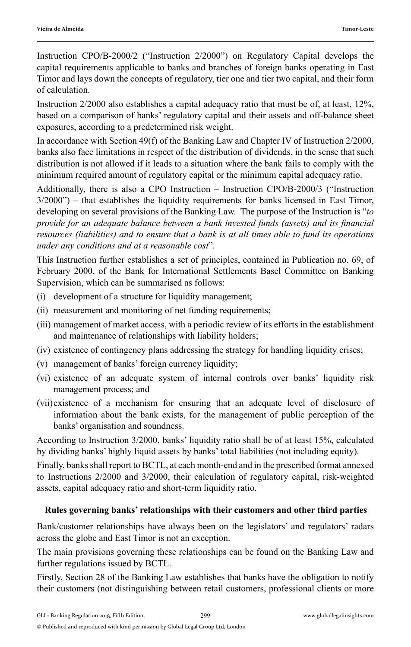Instruction CPO/B-2000/2 ("Instruction 2/2000") on Regulatory Capital develops the capital requirements applicable to banks and branches of foreign banks operating in East Timor and lays down the concepts of regulatory, tier one and tier two capital, and their form of calculation.

Instruction 2/2000 also establishes a capital adequacy ratio that must be of, at least, 12%, based on a comparison of banks' regulatory capital and their assets and off-balance sheet exposures, according to a predetermined risk weight.

In accordance with Section 49(f) of the Banking Law and Chapter IV of Instruction 2/2000, banks also face limitations in respect of the distribution of dividends, in the sense that such distribution is not allowed if it leads to a situation where the bank fails to comply with the minimum required amount of regulatory capital or the minimum capital adequacy ratio.

Additionally, there is also a CPO Instruction – Instruction CPO/B-2000/3 ("Instruction  $3/2000"$ ) – that establishes the liquidity requirements for banks licensed in East Timor, developing on several provisions of the Banking Law. The purpose of the Instruction is "*to provide for an adequate balance between a bank invested funds (assets) and its financial resources (liabilities) and to ensure that a bank is at all times able to fund its operations under any conditions and at a reasonable cost*".

This Instruction further establishes a set of principles, contained in Publication no. 69, of February 2000, of the Bank for International Settlements Basel Committee on Banking Supervision, which can be summarised as follows:

- (i) development of a structure for liquidity management;
- (ii) measurement and monitoring of net funding requirements;
- (iii) management of market access, with a periodic review of its efforts in the establishment and maintenance of relationships with liability holders;
- (iv) existence of contingency plans addressing the strategy for handling liquidity crises;
- (v) management of banks' foreign currency liquidity;
- (vi) existence of an adequate system of internal controls over banks' liquidity risk management process; and
- (vii) existence of a mechanism for ensuring that an adequate level of disclosure of information about the bank exists, for the management of public perception of the banks' organisation and soundness.

According to Instruction 3/2000, banks' liquidity ratio shall be of at least 15%, calculated by dividing banks' highly liquid assets by banks' total liabilities (not including equity).

Finally, banks shall report to BCTL, at each month-end and in the prescribed format annexed to Instructions 2/2000 and 3/2000, their calculation of regulatory capital, risk-weighted assets, capital adequacy ratio and short-term liquidity ratio.

#### **Rules governing banks' relationships with their customers and other third parties**

Bank/customer relationships have always been on the legislators' and regulators' radars across the globe and East Timor is not an exception.

The main provisions governing these relationships can be found on the Banking Law and further regulations issued by BCTL.

Firstly, Section 28 of the Banking Law establishes that banks have the obligation to notify their customers (not distinguishing between retail customers, professional clients or more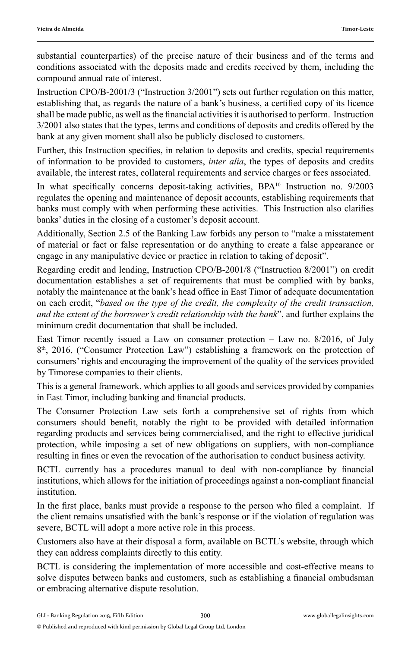substantial counterparties) of the precise nature of their business and of the terms and conditions associated with the deposits made and credits received by them, including the compound annual rate of interest.

Instruction CPO/B-2001/3 ("Instruction 3/2001") sets out further regulation on this matter, establishing that, as regards the nature of a bank's business, a certified copy of its licence shall be made public, as well as the financial activities it is authorised to perform. Instruction 3/2001 also states that the types, terms and conditions of deposits and credits offered by the bank at any given moment shall also be publicly disclosed to customers.

Further, this Instruction specifies, in relation to deposits and credits, special requirements of information to be provided to customers, *inter alia*, the types of deposits and credits available, the interest rates, collateral requirements and service charges or fees associated.

In what specifically concerns deposit-taking activities, BPA<sup>10</sup> Instruction no. 9/2003 regulates the opening and maintenance of deposit accounts, establishing requirements that banks must comply with when performing these activities. This Instruction also clarifies banks' duties in the closing of a customer's deposit account.

Additionally, Section 2.5 of the Banking Law forbids any person to "make a misstatement of material or fact or false representation or do anything to create a false appearance or engage in any manipulative device or practice in relation to taking of deposit".

Regarding credit and lending, Instruction CPO/B-2001/8 ("Instruction 8/2001") on credit documentation establishes a set of requirements that must be complied with by banks, notably the maintenance at the bank's head office in East Timor of adequate documentation on each credit, "*based on the type of the credit, the complexity of the credit transaction, and the extent of the borrower's credit relationship with the bank*", and further explains the minimum credit documentation that shall be included.

East Timor recently issued a Law on consumer protection – Law no. 8/2016, of July  $8<sup>th</sup>$ , 2016, ("Consumer Protection Law") establishing a framework on the protection of consumers' rights and encouraging the improvement of the quality of the services provided by Timorese companies to their clients.

This is a general framework, which applies to all goods and services provided by companies in East Timor, including banking and financial products.

The Consumer Protection Law sets forth a comprehensive set of rights from which consumers should benefit, notably the right to be provided with detailed information regarding products and services being commercialised, and the right to effective juridical protection, while imposing a set of new obligations on suppliers, with non-compliance resulting in fines or even the revocation of the authorisation to conduct business activity.

BCTL currently has a procedures manual to deal with non-compliance by financial institutions, which allows for the initiation of proceedings against a non-compliant financial institution.

In the first place, banks must provide a response to the person who filed a complaint. If the client remains unsatisfied with the bank's response or if the violation of regulation was severe, BCTL will adopt a more active role in this process.

Customers also have at their disposal a form, available on BCTL's website, through which they can address complaints directly to this entity.

BCTL is considering the implementation of more accessible and cost-effective means to solve disputes between banks and customers, such as establishing a financial ombudsman or embracing alternative dispute resolution.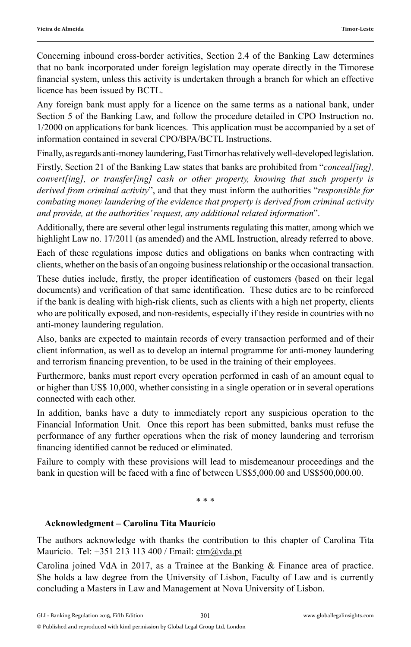Concerning inbound cross-border activities, Section 2.4 of the Banking Law determines that no bank incorporated under foreign legislation may operate directly in the Timorese financial system, unless this activity is undertaken through a branch for which an effective licence has been issued by BCTL.

Any foreign bank must apply for a licence on the same terms as a national bank, under Section 5 of the Banking Law, and follow the procedure detailed in CPO Instruction no. 1/2000 on applications for bank licences. This application must be accompanied by a set of information contained in several CPO/BPA/BCTL Instructions.

Finally, as regards anti-money laundering, East Timor has relatively well-developed legislation.

Firstly, Section 21 of the Banking Law states that banks are prohibited from "*conceal[ing], convert[ing], or transfer[ing] cash or other property, knowing that such property is derived from criminal activity*", and that they must inform the authorities "*responsible for combating money laundering of the evidence that property is derived from criminal activity and provide, at the authorities' request, any additional related information*".

Additionally, there are several other legal instruments regulating this matter, among which we highlight Law no. 17/2011 (as amended) and the AML Instruction, already referred to above.

Each of these regulations impose duties and obligations on banks when contracting with clients, whether on the basis of an ongoing business relationship or the occasional transaction.

These duties include, firstly, the proper identification of customers (based on their legal documents) and verification of that same identification. These duties are to be reinforced if the bank is dealing with high-risk clients, such as clients with a high net property, clients who are politically exposed, and non-residents, especially if they reside in countries with no anti-money laundering regulation.

Also, banks are expected to maintain records of every transaction performed and of their client information, as well as to develop an internal programme for anti-money laundering and terrorism financing prevention, to be used in the training of their employees.

Furthermore, banks must report every operation performed in cash of an amount equal to or higher than US\$ 10,000, whether consisting in a single operation or in several operations connected with each other.

In addition, banks have a duty to immediately report any suspicious operation to the Financial Information Unit. Once this report has been submitted, banks must refuse the performance of any further operations when the risk of money laundering and terrorism financing identified cannot be reduced or eliminated.

Failure to comply with these provisions will lead to misdemeanour proceedings and the bank in question will be faced with a fine of between US\$5,000.00 and US\$500,000.00.

\* \* \*

#### **Acknowledgment – Carolina Tita Maurício**

The authors acknowledge with thanks the contribution to this chapter of Carolina Tita Maurício. Tel: +351 213 113 400 / Email: ctm@vda.pt

Carolina joined VdA in 2017, as a Trainee at the Banking & Finance area of practice. She holds a law degree from the University of Lisbon, Faculty of Law and is currently concluding a Masters in Law and Management at Nova University of Lisbon.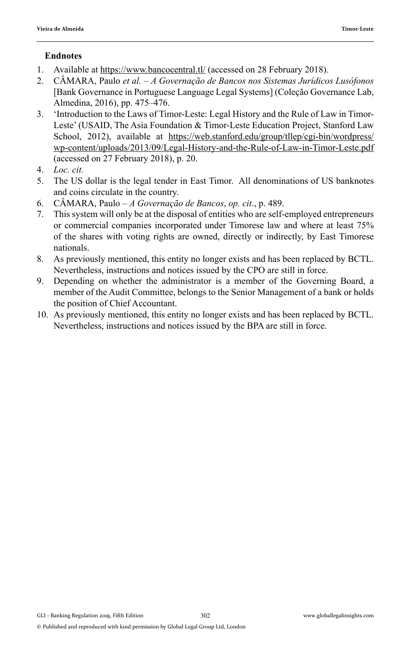### **Endnotes**

- 1. Available at https://www.bancocentral.tl/ (accessed on 28 February 2018).
- 2. CÂMARA, Paulo *et al. A Governação de Bancos nos Sistemas Jurídicos Lusófonos* [Bank Governance in Portuguese Language Legal Systems] (Coleção Governance Lab, Almedina, 2016), pp. 475–476.
- 3. 'Introduction to the Laws of Timor-Leste: Legal History and the Rule of Law in Timor-Leste' (USAID, The Asia Foundation & Timor-Leste Education Project, Stanford Law School, 2012), available at https://web.stanford.edu/group/tllep/cgi-bin/wordpress/ wp-content/uploads/2013/09/Legal-History-and-the-Rule-of-Law-in-Timor-Leste.pdf (accessed on 27 February 2018), p. 20.
- 4. *Loc. cit.*
- 5. The US dollar is the legal tender in East Timor. All denominations of US banknotes and coins circulate in the country.
- 6. CÂMARA, Paulo *A Governação de Bancos*, *op. cit*., p. 489.
- 7. This system will only be at the disposal of entities who are self-employed entrepreneurs or commercial companies incorporated under Timorese law and where at least 75% of the shares with voting rights are owned, directly or indirectly, by East Timorese nationals.
- 8. As previously mentioned, this entity no longer exists and has been replaced by BCTL. Nevertheless, instructions and notices issued by the CPO are still in force.
- 9. Depending on whether the administrator is a member of the Governing Board, a member of the Audit Committee, belongs to the Senior Management of a bank or holds the position of Chief Accountant.
- 10. As previously mentioned, this entity no longer exists and has been replaced by BCTL. Nevertheless, instructions and notices issued by the BPA are still in force.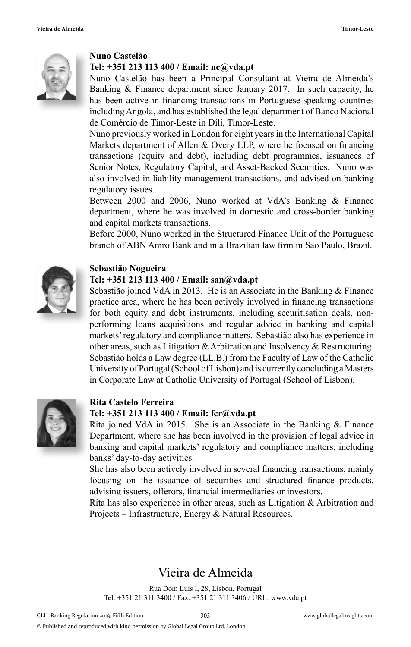

#### **Nuno Castelão**

#### **Tel: +351 213 113 400 / Email: nc@vda.pt**

Nuno Castelão has been a Principal Consultant at Vieira de Almeida's Banking & Finance department since January 2017. In such capacity, he has been active in financing transactions in Portuguese-speaking countries including Angola, and has established the legal department of Banco Nacional de Comércio de Timor-Leste in Díli, Timor-Leste.

Nuno previously worked in London for eight years in the International Capital Markets department of Allen  $&$  Overy LLP, where he focused on financing transactions (equity and debt), including debt programmes, issuances of Senior Notes, Regulatory Capital, and Asset-Backed Securities. Nuno was also involved in liability management transactions, and advised on banking regulatory issues.

Between 2000 and 2006, Nuno worked at VdA's Banking & Finance department, where he was involved in domestic and cross-border banking and capital markets transactions.

Before 2000, Nuno worked in the Structured Finance Unit of the Portuguese branch of ABN Amro Bank and in a Brazilian law firm in Sao Paulo, Brazil.



#### **Sebastião Nogueira**

#### **Tel: +351 213 113 400 / Email: san@vda.pt**

Sebastião joined VdA in 2013. He is an Associate in the Banking  $\&$  Finance practice area, where he has been actively involved in financing transactions for both equity and debt instruments, including securitisation deals, nonperforming loans acquisitions and regular advice in banking and capital markets' regulatory and compliance matters. Sebastião also has experience in other areas, such as Litigation & Arbitration and Insolvency & Restructuring. Sebastião holds a Law degree (LL.B.) from the Faculty of Law of the Catholic University of Portugal (School of Lisbon) and is currently concluding a Masters in Corporate Law at Catholic University of Portugal (School of Lisbon).



#### **Rita Castelo Ferreira Tel: +351 213 113 400 / Email: fcr@vda.pt**

#### Rita joined VdA in 2015. She is an Associate in the Banking & Finance Department, where she has been involved in the provision of legal advice in banking and capital markets' regulatory and compliance matters, including banks' day-to-day activities.

She has also been actively involved in several financing transactions, mainly focusing on the issuance of securities and structured finance products, advising issuers, offerors, financial intermediaries or investors.

Rita has also experience in other areas, such as Litigation & Arbitration and Projects – Infrastructure, Energy & Natural Resources.

# Vieira de Almeida

Rua Dom Luis I, 28, Lisbon, Portugal Tel: +351 21 311 3400 / Fax: +351 21 311 3406 / URL: www.vda.pt